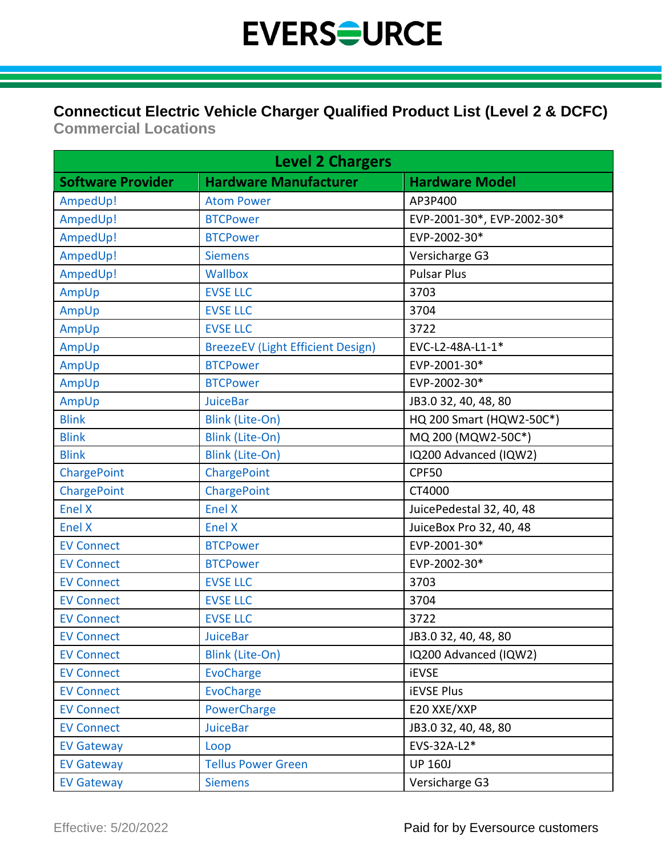#### **Connecticut Electric Vehicle Charger Qualified Product List (Level 2 & DCFC)**

**Commercial Locations**

| <b>Level 2 Chargers</b>  |                                          |                            |
|--------------------------|------------------------------------------|----------------------------|
| <b>Software Provider</b> | <b>Hardware Manufacturer</b>             | <b>Hardware Model</b>      |
| AmpedUp!                 | <b>Atom Power</b>                        | AP3P400                    |
| AmpedUp!                 | <b>BTCPower</b>                          | EVP-2001-30*, EVP-2002-30* |
| AmpedUp!                 | <b>BTCPower</b>                          | EVP-2002-30*               |
| AmpedUp!                 | <b>Siemens</b>                           | Versicharge G3             |
| AmpedUp!                 | Wallbox                                  | <b>Pulsar Plus</b>         |
| AmpUp                    | <b>EVSE LLC</b>                          | 3703                       |
| AmpUp                    | <b>EVSE LLC</b>                          | 3704                       |
| AmpUp                    | <b>EVSE LLC</b>                          | 3722                       |
| AmpUp                    | <b>BreezeEV (Light Efficient Design)</b> | EVC-L2-48A-L1-1*           |
| AmpUp                    | <b>BTCPower</b>                          | EVP-2001-30*               |
| AmpUp                    | <b>BTCPower</b>                          | EVP-2002-30*               |
| AmpUp                    | <b>JuiceBar</b>                          | JB3.0 32, 40, 48, 80       |
| <b>Blink</b>             | <b>Blink (Lite-On)</b>                   | HQ 200 Smart (HQW2-50C*)   |
| <b>Blink</b>             | <b>Blink (Lite-On)</b>                   | MQ 200 (MQW2-50C*)         |
| <b>Blink</b>             | <b>Blink (Lite-On)</b>                   | IQ200 Advanced (IQW2)      |
| <b>ChargePoint</b>       | ChargePoint                              | CPF50                      |
| ChargePoint              | ChargePoint                              | CT4000                     |
| <b>Enel X</b>            | <b>Enel X</b>                            | JuicePedestal 32, 40, 48   |
| <b>Enel X</b>            | Enel X                                   | JuiceBox Pro 32, 40, 48    |
| <b>EV Connect</b>        | <b>BTCPower</b>                          | EVP-2001-30*               |
| <b>EV Connect</b>        | <b>BTCPower</b>                          | EVP-2002-30*               |
| <b>EV Connect</b>        | <b>EVSE LLC</b>                          | 3703                       |
| <b>EV Connect</b>        | <b>EVSE LLC</b>                          | 3704                       |
| <b>EV Connect</b>        | <b>EVSE LLC</b>                          | 3722                       |
| <b>EV Connect</b>        | <b>JuiceBar</b>                          | JB3.0 32, 40, 48, 80       |
| <b>EV Connect</b>        | <b>Blink (Lite-On)</b>                   | IQ200 Advanced (IQW2)      |
| <b>EV Connect</b>        | <b>EvoCharge</b>                         | <b>iEVSE</b>               |
| <b>EV Connect</b>        | <b>EvoCharge</b>                         | <b>iEVSE Plus</b>          |
| <b>EV Connect</b>        | PowerCharge                              | E20 XXE/XXP                |
| <b>EV Connect</b>        | <b>JuiceBar</b>                          | JB3.0 32, 40, 48, 80       |
| <b>EV Gateway</b>        | Loop                                     | EVS-32A-L2*                |
| <b>EV Gateway</b>        | <b>Tellus Power Green</b>                | <b>UP 160J</b>             |
| <b>EV Gateway</b>        | <b>Siemens</b>                           | Versicharge G3             |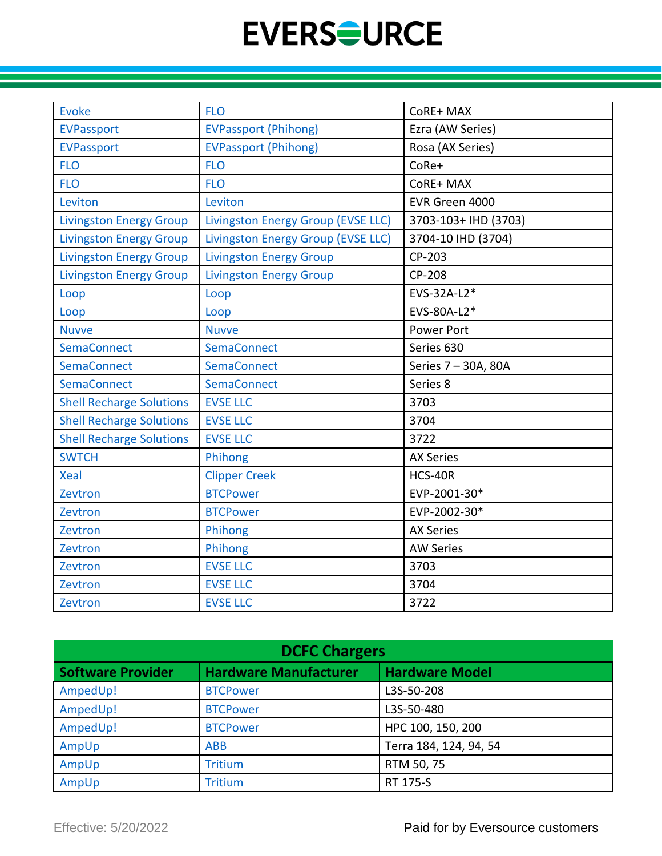| Evoke                           | <b>FLO</b>                         | CoRE+ MAX            |
|---------------------------------|------------------------------------|----------------------|
| <b>EVPassport</b>               | <b>EVPassport (Phihong)</b>        | Ezra (AW Series)     |
| <b>EVPassport</b>               | <b>EVPassport (Phihong)</b>        | Rosa (AX Series)     |
| <b>FLO</b>                      | <b>FLO</b>                         | CoRe+                |
| <b>FLO</b>                      | <b>FLO</b>                         | CoRE+ MAX            |
| Leviton                         | Leviton                            | EVR Green 4000       |
| <b>Livingston Energy Group</b>  | Livingston Energy Group (EVSE LLC) | 3703-103+ IHD (3703) |
| <b>Livingston Energy Group</b>  | Livingston Energy Group (EVSE LLC) | 3704-10 IHD (3704)   |
| <b>Livingston Energy Group</b>  | <b>Livingston Energy Group</b>     | CP-203               |
| <b>Livingston Energy Group</b>  | <b>Livingston Energy Group</b>     | CP-208               |
| Loop                            | Loop                               | EVS-32A-L2*          |
| Loop                            | Loop                               | EVS-80A-L2*          |
| <b>Nuvve</b>                    | <b>Nuvve</b>                       | <b>Power Port</b>    |
| <b>SemaConnect</b>              | <b>SemaConnect</b>                 | Series 630           |
| SemaConnect                     | <b>SemaConnect</b>                 | Series 7 - 30A, 80A  |
| <b>SemaConnect</b>              | SemaConnect                        | Series 8             |
| <b>Shell Recharge Solutions</b> | <b>EVSE LLC</b>                    | 3703                 |
| <b>Shell Recharge Solutions</b> | <b>EVSE LLC</b>                    | 3704                 |
| <b>Shell Recharge Solutions</b> | <b>EVSE LLC</b>                    | 3722                 |
| <b>SWTCH</b>                    | Phihong                            | <b>AX Series</b>     |
| <b>Xeal</b>                     | <b>Clipper Creek</b>               | HCS-40R              |
| Zevtron                         | <b>BTCPower</b>                    | EVP-2001-30*         |
| Zevtron                         | <b>BTCPower</b>                    | EVP-2002-30*         |
| Zevtron                         | Phihong                            | <b>AX Series</b>     |
| Zevtron                         | Phihong                            | <b>AW Series</b>     |
| Zevtron                         | <b>EVSE LLC</b>                    | 3703                 |
| Zevtron                         | <b>EVSE LLC</b>                    | 3704                 |
| Zevtron                         | <b>EVSE LLC</b>                    | 3722                 |

| <b>DCFC Chargers</b>     |                              |                        |  |
|--------------------------|------------------------------|------------------------|--|
| <b>Software Provider</b> | <b>Hardware Manufacturer</b> | <b>Hardware Model</b>  |  |
| AmpedUp!                 | <b>BTCPower</b>              | L3S-50-208             |  |
| AmpedUp!                 | <b>BTCPower</b>              | L3S-50-480             |  |
| AmpedUp!                 | <b>BTCPower</b>              | HPC 100, 150, 200      |  |
| AmpUp                    | <b>ABB</b>                   | Terra 184, 124, 94, 54 |  |
| AmpUp                    | <b>Tritium</b>               | RTM 50, 75             |  |
| AmpUp                    | <b>Tritium</b>               | RT 175-S               |  |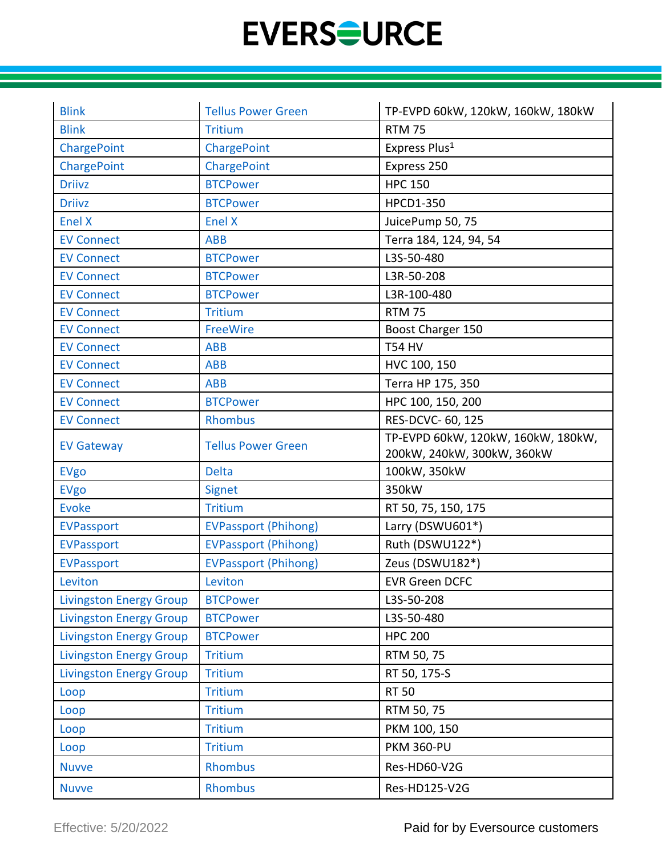| <b>Blink</b>                   | <b>Tellus Power Green</b>   | TP-EVPD 60kW, 120kW, 160kW, 180kW                                |
|--------------------------------|-----------------------------|------------------------------------------------------------------|
| <b>Blink</b>                   | <b>Tritium</b>              | <b>RTM 75</b>                                                    |
| ChargePoint                    | ChargePoint                 | Express Plus <sup>1</sup>                                        |
| ChargePoint                    | ChargePoint                 | Express 250                                                      |
| <b>Driivz</b>                  | <b>BTCPower</b>             | <b>HPC 150</b>                                                   |
| <b>Driivz</b>                  | <b>BTCPower</b>             | HPCD1-350                                                        |
| Enel X                         | Enel X                      | JuicePump 50, 75                                                 |
| <b>EV Connect</b>              | <b>ABB</b>                  | Terra 184, 124, 94, 54                                           |
| <b>EV Connect</b>              | <b>BTCPower</b>             | L3S-50-480                                                       |
| <b>EV Connect</b>              | <b>BTCPower</b>             | L3R-50-208                                                       |
| <b>EV Connect</b>              | <b>BTCPower</b>             | L3R-100-480                                                      |
| <b>EV Connect</b>              | <b>Tritium</b>              | <b>RTM 75</b>                                                    |
| <b>EV Connect</b>              | FreeWire                    | Boost Charger 150                                                |
| <b>EV Connect</b>              | <b>ABB</b>                  | <b>T54 HV</b>                                                    |
| <b>EV Connect</b>              | <b>ABB</b>                  | HVC 100, 150                                                     |
| <b>EV Connect</b>              | <b>ABB</b>                  | Terra HP 175, 350                                                |
| <b>EV Connect</b>              | <b>BTCPower</b>             | HPC 100, 150, 200                                                |
| <b>EV Connect</b>              | <b>Rhombus</b>              | RES-DCVC- 60, 125                                                |
| <b>EV Gateway</b>              | <b>Tellus Power Green</b>   | TP-EVPD 60kW, 120kW, 160kW, 180kW,<br>200kW, 240kW, 300kW, 360kW |
| <b>EVgo</b>                    | <b>Delta</b>                | 100kW, 350kW                                                     |
| <b>EVgo</b>                    | <b>Signet</b>               | 350kW                                                            |
| <b>Evoke</b>                   | <b>Tritium</b>              | RT 50, 75, 150, 175                                              |
| <b>EVPassport</b>              | <b>EVPassport (Phihong)</b> | Larry (DSWU601*)                                                 |
| <b>EVPassport</b>              | <b>EVPassport (Phihong)</b> | Ruth (DSWU122*)                                                  |
| <b>EVPassport</b>              | <b>EVPassport (Phihong)</b> | Zeus (DSWU182*)                                                  |
| Leviton                        | Leviton                     | <b>EVR Green DCFC</b>                                            |
| <b>Livingston Energy Group</b> | <b>BTCPower</b>             | L3S-50-208                                                       |
| <b>Livingston Energy Group</b> | <b>BTCPower</b>             | L3S-50-480                                                       |
| <b>Livingston Energy Group</b> | <b>BTCPower</b>             | <b>HPC 200</b>                                                   |
| <b>Livingston Energy Group</b> | <b>Tritium</b>              | RTM 50, 75                                                       |
| <b>Livingston Energy Group</b> | <b>Tritium</b>              | RT 50, 175-S                                                     |
| Loop                           | <b>Tritium</b>              | <b>RT 50</b>                                                     |
| Loop                           | <b>Tritium</b>              | RTM 50, 75                                                       |
| Loop                           | <b>Tritium</b>              | PKM 100, 150                                                     |
| Loop                           | <b>Tritium</b>              | <b>PKM 360-PU</b>                                                |
| <b>Nuvve</b>                   | <b>Rhombus</b>              | Res-HD60-V2G                                                     |
| <b>Nuvve</b>                   | <b>Rhombus</b>              | Res-HD125-V2G                                                    |